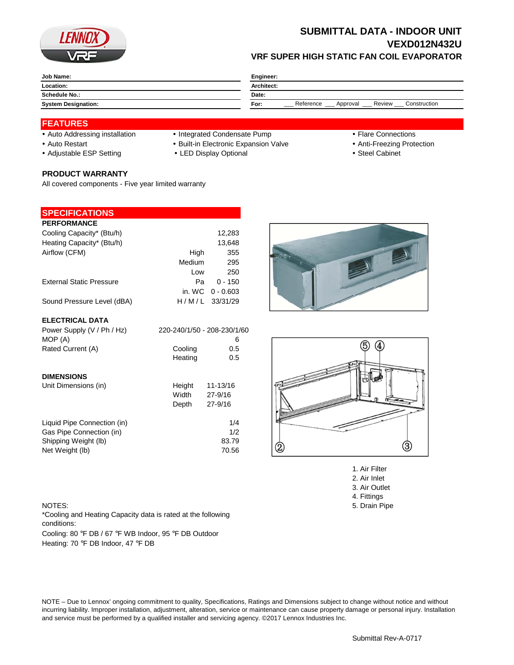

# **SUBMITTAL DATA - INDOOR UNIT VEXD012N432U VRF SUPER HIGH STATIC FAN COIL EVAPORATOR**

| Job Name:                  | Engineer:                                               |  |  |
|----------------------------|---------------------------------------------------------|--|--|
| Location:                  | Architect:                                              |  |  |
| <b>Schedule No.:</b>       | Date:                                                   |  |  |
| <b>System Designation:</b> | Reference<br>Review<br>Construction<br>For:<br>Approval |  |  |

## **FEATURES**

- Auto Addressing installation Integrated Condensate Pump Flare Connections
- Auto Restart **Built-in Electronic Expansion Valve Anti-Freezing Protection** Anti-Freezing Protection
- Adjustable ESP Setting **CHACK CHACK CHACK CHACK CHACK CHACK Steel Cabinet Steel Cabinet**

## **PRODUCT WARRANTY**

All covered components - Five year limited warranty

## **SPECIFICATIONS**

| <b>PERFORMANCE</b>              |        |                    |
|---------------------------------|--------|--------------------|
| Cooling Capacity* (Btu/h)       |        | 12,283             |
| Heating Capacity* (Btu/h)       |        | 13,648             |
| Airflow (CFM)                   | High   | 355                |
|                                 | Medium | 295                |
|                                 | Low    | 250                |
| <b>External Static Pressure</b> | Pа     | $0 - 150$          |
|                                 |        | in. WC $0 - 0.603$ |
| Sound Pressure Level (dBA)      |        | $H/M/L$ 33/31/29   |

### **ELECTRICAL DATA**

| Power Supply (V / Ph / Hz)  |         | 220-240/1/50 - 208-230/1/60 |
|-----------------------------|---------|-----------------------------|
| MOP (A)                     |         | 6                           |
| Rated Current (A)           | Cooling | 0.5                         |
|                             | Heating | 0.5                         |
| <b>DIMENSIONS</b>           |         |                             |
| Unit Dimensions (in)        | Height  | 11-13/16                    |
|                             | Width   | 27-9/16                     |
|                             | Depth   | $27 - 9/16$                 |
| Liquid Pipe Connection (in) |         | 1/4                         |
| Gas Pipe Connection (in)    |         | 1/2                         |
| Shipping Weight (lb)        |         | 83.79                       |
| Net Weight (lb)             |         | 70.56                       |





1. Air Filter 2. Air Inlet 3. Air Outlet 4. Fittings NOTES: 5. Drain Pipe

Cooling: 80 °F DB / 67 °F WB Indoor, 95 °F DB Outdoor Heating: 70 °F DB Indoor, 47 °F DB \*Cooling and Heating Capacity data is rated at the following conditions:

NOTE – Due to Lennox' ongoing commitment to quality, Specifications, Ratings and Dimensions subject to change without notice and without incurring liability. Improper installation, adjustment, alteration, service or maintenance can cause property damage or personal injury. Installation and service must be performed by a qualified installer and servicing agency. ©2017 Lennox Industries Inc.